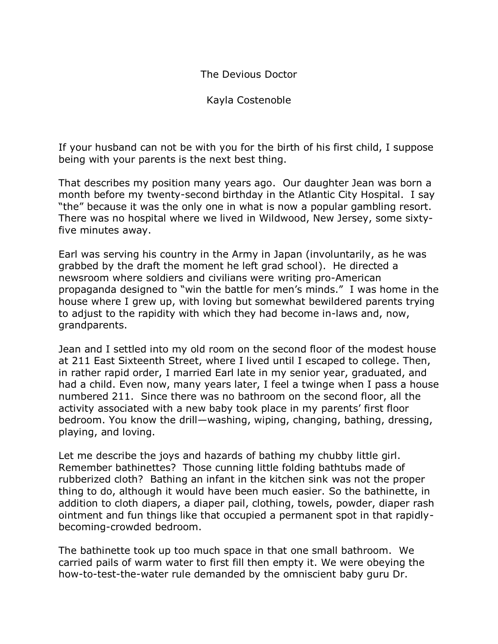## The Devious Doctor

Kayla Costenoble

If your husband can not be with you for the birth of his first child, I suppose being with your parents is the next best thing.

That describes my position many years ago. Our daughter Jean was born a month before my twenty-second birthday in the Atlantic City Hospital. I say "the" because it was the only one in what is now a popular gambling resort. There was no hospital where we lived in Wildwood, New Jersey, some sixtyfive minutes away.

Earl was serving his country in the Army in Japan (involuntarily, as he was grabbed by the draft the moment he left grad school). He directed a newsroom where soldiers and civilians were writing pro-American propaganda designed to "win the battle for men's minds." I was home in the house where I grew up, with loving but somewhat bewildered parents trying to adjust to the rapidity with which they had become in-laws and, now, grandparents.

Jean and I settled into my old room on the second floor of the modest house at 211 East Sixteenth Street, where I lived until I escaped to college. Then, in rather rapid order, I married Earl late in my senior year, graduated, and had a child. Even now, many years later, I feel a twinge when I pass a house numbered 211. Since there was no bathroom on the second floor, all the activity associated with a new baby took place in my parents' first floor bedroom. You know the drill—washing, wiping, changing, bathing, dressing, playing, and loving.

Let me describe the joys and hazards of bathing my chubby little girl. Remember bathinettes? Those cunning little folding bathtubs made of rubberized cloth? Bathing an infant in the kitchen sink was not the proper thing to do, although it would have been much easier. So the bathinette, in addition to cloth diapers, a diaper pail, clothing, towels, powder, diaper rash ointment and fun things like that occupied a permanent spot in that rapidlybecoming-crowded bedroom.

The bathinette took up too much space in that one small bathroom. We carried pails of warm water to first fill then empty it. We were obeying the how-to-test-the-water rule demanded by the omniscient baby guru Dr.